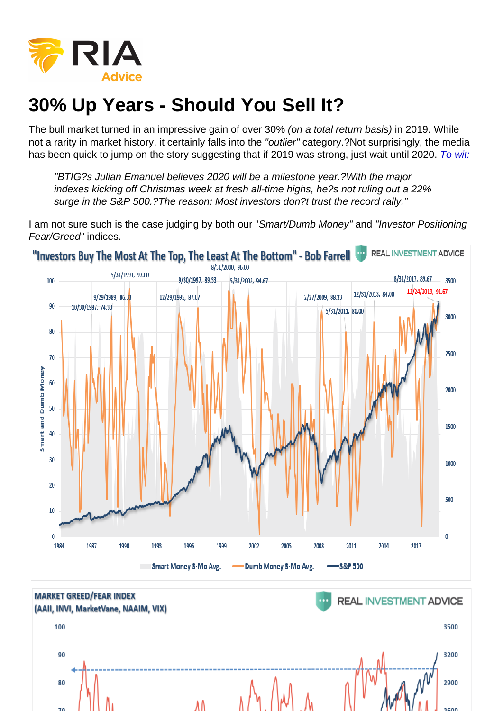# 30% Up Years - Should You Sell It?

The bull market turned in an impressive gain of over 30% (on a total return basis) in 2019. While not a rarity in market history, it certainly falls into the "outlier" category.?Not surprisingly, the media has been quick to jump on the story suggesting that if 2019 was strong, just wait until 2020. [To wit:](https://www.cnbc.com/2019/12/24/sp-500-may-see-a-breakout-run-to-almost-4000-in-2020-julian-emanuel.html)

"BTIG?s Julian Emanuel believes 2020 will be a milestone year.?With the major indexes kicking off Christmas week at fresh all-time highs, he?s not ruling out a 22% surge in the S&P 500.?The reason: Most investors don?t trust the record rally."

I am not sure such is the case judging by both our "Smart/Dumb Money" and "Investor Positioning Fear/Greed" indices.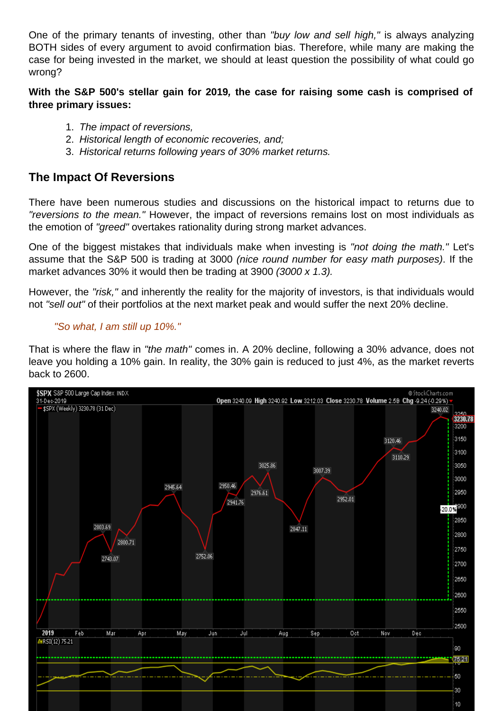One of the primary tenants of investing, other than "buy low and sell high," is always analyzing BOTH sides of every argument to avoid confirmation bias. Therefore, while many are making the case for being invested in the market, we should at least question the possibility of what could go wrong?

With the S&P 500's stellar gain for 2019, the case for raising some cash is comprised of three primary issues:

- 1. The impact of reversions,
- 2. Historical length of economic recoveries, and;
- 3. Historical returns following years of 30% market returns.

### The Impact Of Reversions

There have been numerous studies and discussions on the historical impact to returns due to "reversions to the mean." However, the impact of reversions remains lost on most individuals as the emotion of "greed" overtakes rationality during strong market advances.

One of the biggest mistakes that individuals make when investing is "not doing the math." Let's assume that the S&P 500 is trading at 3000 (nice round number for easy math purposes). If the market advances 30% it would then be trading at 3900 (3000 x 1.3).

However, the "risk," and inherently the reality for the majority of investors, is that individuals would not "sell out" of their portfolios at the next market peak and would suffer the next 20% decline.

#### "So what, I am still up 10%."

That is where the flaw in "the math" comes in. A 20% decline, following a 30% advance, does not leave you holding a 10% gain. In reality, the 30% gain is reduced to just 4%, as the market reverts back to 2600.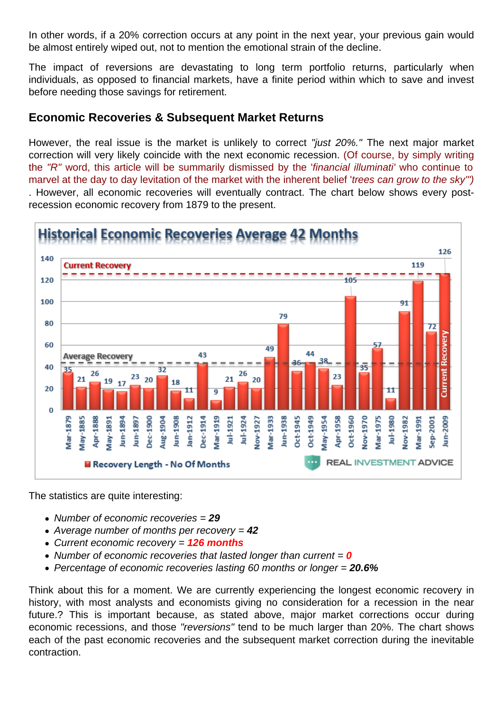In other words, if a 20% correction occurs at any point in the next year, your previous gain would be almost entirely wiped out, not to mention the emotional strain of the decline.

The impact of reversions are devastating to long term portfolio returns, particularly when individuals, as opposed to financial markets, have a finite period within which to save and invest before needing those savings for retirement.

## Economic Recoveries & Subsequent Market Returns

However, the real issue is the market is unlikely to correct "just 20%." The next major market correction will very likely coincide with the next economic recession. (Of course, by simply writing the "R" word, this article will be summarily dismissed by the 'financial illuminati' who continue to marvel at the day to day levitation of the market with the inherent belief 'trees can grow to the sky'") . However, all economic recoveries will eventually contract. The chart below shows every postrecession economic recovery from 1879 to the present.

The statistics are quite interesting:

- Number of economic recoveries  $= 29$
- Average number of months per recovery  $= 42$
- Current economic recovery = 126 months
- Number of economic recoveries that lasted longer than current  $= 0$
- Percentage of economic recoveries lasting 60 months or longer = 20.6%

Think about this for a moment. We are currently experiencing the longest economic recovery in history, with most analysts and economists giving no consideration for a recession in the near future.? This is important because, as stated above, major market corrections occur during economic recessions, and those "reversions" tend to be much larger than 20%. The chart shows each of the past economic recoveries and the subsequent market correction during the inevitable contraction.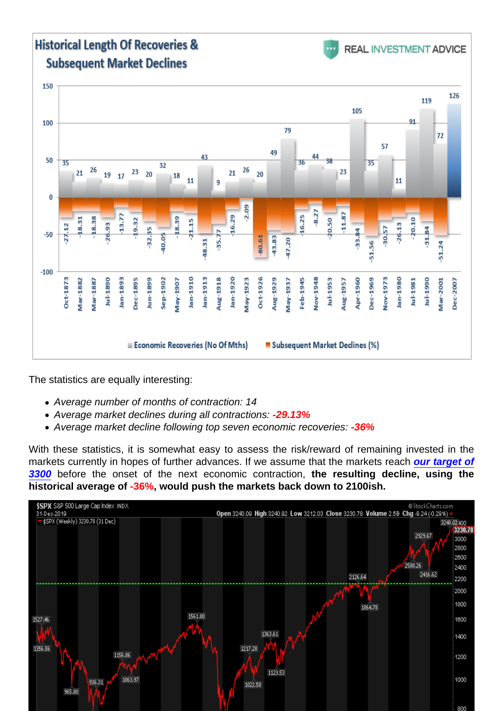The statistics are equally interesting:

- Average number of months of contraction: 14
- Average market declines during all contractions: -29.13%
- Average market decline following top seven economic recoveries: -36%

With these statistics, it is somewhat easy to assess the risk/reward of remaining invested in the markets currently in hopes of further advances. If we assume that the markets reac[h our target of](https://realinvestmentadvice.com/sp-3300-the-bull-vs-bear-case-2/) [3300](https://realinvestmentadvice.com/sp-3300-the-bull-vs-bear-case-2/) before the onset of the next economic contraction, the resulting decline, using the historical average of -36%, would push the markets back down to 2100ish.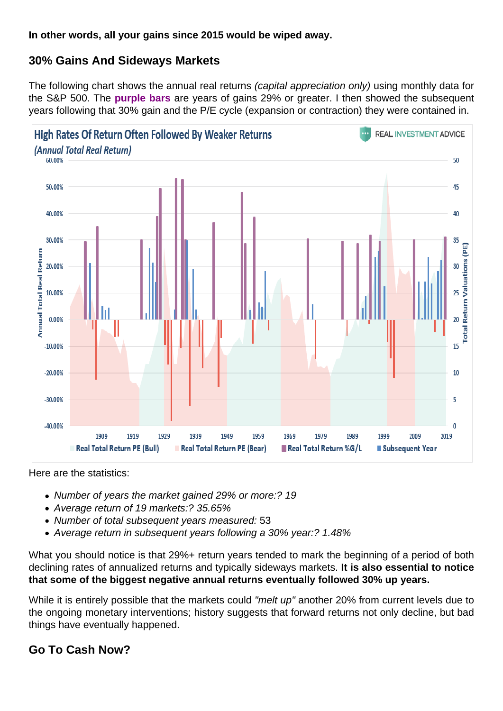In other words, all your gains since 2015 would be wiped away.

## 30% Gains And Sideways Markets

The following chart shows the annual real returns (capital appreciation only) using monthly data for the S&P 500. The purple bars are years of gains 29% or greater. I then showed the subsequent years following that 30% gain and the P/E cycle (expansion or contraction) they were contained in.

Here are the statistics:

- Number of years the market gained 29% or more:? 19
- Average return of 19 markets:? 35.65%
- Number of total subsequent years measured: 53
- Average return in subsequent years following a 30% year:? 1.48%

What you should notice is that 29%+ return years tended to mark the beginning of a period of both declining rates of annualized returns and typically sideways markets. It is also essential to notice that some of the biggest negative annual returns eventually followed 30% up years.

While it is entirely possible that the markets could "melt up" another 20% from current levels due to the ongoing monetary interventions; history suggests that forward returns not only decline, but bad things have eventually happened.

Go To Cash Now?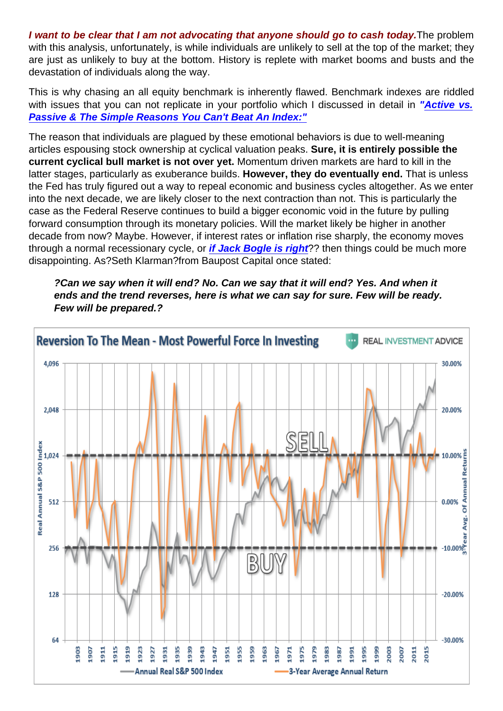I want to be clear that I am not advocating that anyone should go to cash today. The problem with this analysis, unfortunately, is while individuals are unlikely to sell at the top of the market; they are just as unlikely to buy at the bottom. History is replete with market booms and busts and the devastation of individuals along the way.

This is why chasing an all equity benchmark is inherently flawed. Benchmark indexes are riddled with issues that you can not replicate in your portfolio which I discussed in detail in "[Active vs.](https://realinvestmentadvice.com/active-vs-passive-the-simple-reasons-you-cant-beat-an-index/) [Passive & The Simple Reasons You Can't Beat An Index:"](https://realinvestmentadvice.com/active-vs-passive-the-simple-reasons-you-cant-beat-an-index/)

The reason that individuals are plagued by these emotional behaviors is due to well-meaning articles espousing stock ownership at cyclical valuation peaks. Sure, it is entirely possible the current cyclical bull market is not over yet. Momentum driven markets are hard to kill in the latter stages, particularly as exuberance builds. However, they do eventually end. That is unless the Fed has truly figured out a way to repeal economic and business cycles altogether. As we enter into the next decade, we are likely closer to the next contraction than not. This is particularly the case as the Federal Reserve continues to build a bigger economic void in the future by pulling forward consumption through its monetary policies. Will the market likely be higher in another decade from now? Maybe. However, if interest rates or inflation rise sharply, the economy moves through a normal recessionary cycle, or [if Jack Bogle is right](http://www.businessinsider.com/jack-bogle-warns-of-two-50-percent-market-declines-in-next-10-years-2013-4) ?? then things could be much more disappointing. As?Seth Klarman?from Baupost Capital once stated:

?Can we say when it will end? No. Can we say that it will end? Yes. And when it ends and the trend reverses, here is what we can say for sure. Few will be ready. Few will be prepared.?